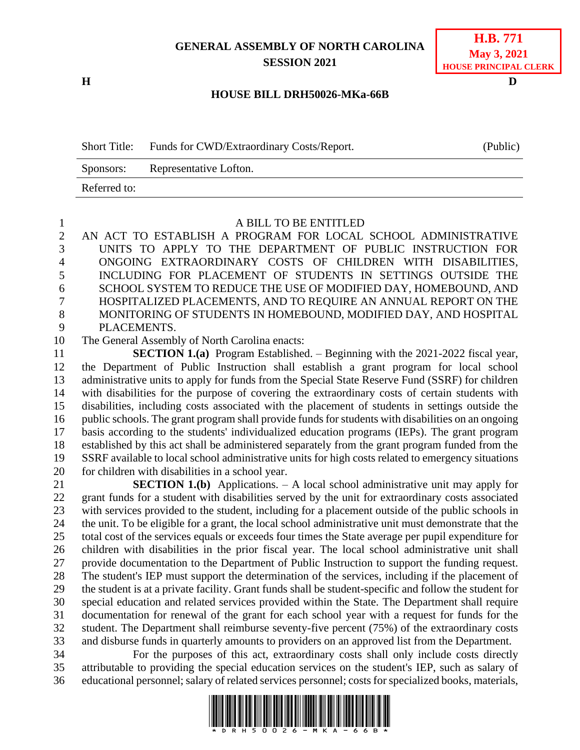# **GENERAL ASSEMBLY OF NORTH CAROLINA SESSION 2021**

**H D**

## **H.B. 771 May 3, 2021 HOUSE PRINCIPAL CLERK**

### **HOUSE BILL DRH50026-MKa-66B**

Short Title: Funds for CWD/Extraordinary Costs/Report. (Public) Sponsors: Representative Lofton. Referred to:

#### A BILL TO BE ENTITLED

 AN ACT TO ESTABLISH A PROGRAM FOR LOCAL SCHOOL ADMINISTRATIVE UNITS TO APPLY TO THE DEPARTMENT OF PUBLIC INSTRUCTION FOR ONGOING EXTRAORDINARY COSTS OF CHILDREN WITH DISABILITIES, INCLUDING FOR PLACEMENT OF STUDENTS IN SETTINGS OUTSIDE THE SCHOOL SYSTEM TO REDUCE THE USE OF MODIFIED DAY, HOMEBOUND, AND HOSPITALIZED PLACEMENTS, AND TO REQUIRE AN ANNUAL REPORT ON THE MONITORING OF STUDENTS IN HOMEBOUND, MODIFIED DAY, AND HOSPITAL PLACEMENTS.

The General Assembly of North Carolina enacts:

 **SECTION 1.(a)** Program Established. – Beginning with the 2021-2022 fiscal year, the Department of Public Instruction shall establish a grant program for local school administrative units to apply for funds from the Special State Reserve Fund (SSRF) for children with disabilities for the purpose of covering the extraordinary costs of certain students with disabilities, including costs associated with the placement of students in settings outside the public schools. The grant program shall provide funds for students with disabilities on an ongoing basis according to the students' individualized education programs (IEPs). The grant program established by this act shall be administered separately from the grant program funded from the SSRF available to local school administrative units for high costs related to emergency situations for children with disabilities in a school year.

 **SECTION 1.(b)** Applications. – A local school administrative unit may apply for grant funds for a student with disabilities served by the unit for extraordinary costs associated with services provided to the student, including for a placement outside of the public schools in the unit. To be eligible for a grant, the local school administrative unit must demonstrate that the total cost of the services equals or exceeds four times the State average per pupil expenditure for children with disabilities in the prior fiscal year. The local school administrative unit shall provide documentation to the Department of Public Instruction to support the funding request. The student's IEP must support the determination of the services, including if the placement of the student is at a private facility. Grant funds shall be student-specific and follow the student for special education and related services provided within the State. The Department shall require documentation for renewal of the grant for each school year with a request for funds for the student. The Department shall reimburse seventy-five percent (75%) of the extraordinary costs and disburse funds in quarterly amounts to providers on an approved list from the Department.

 For the purposes of this act, extraordinary costs shall only include costs directly attributable to providing the special education services on the student's IEP, such as salary of 36 educational personnel; salary of related services personnel; costs for specialized books, materials,

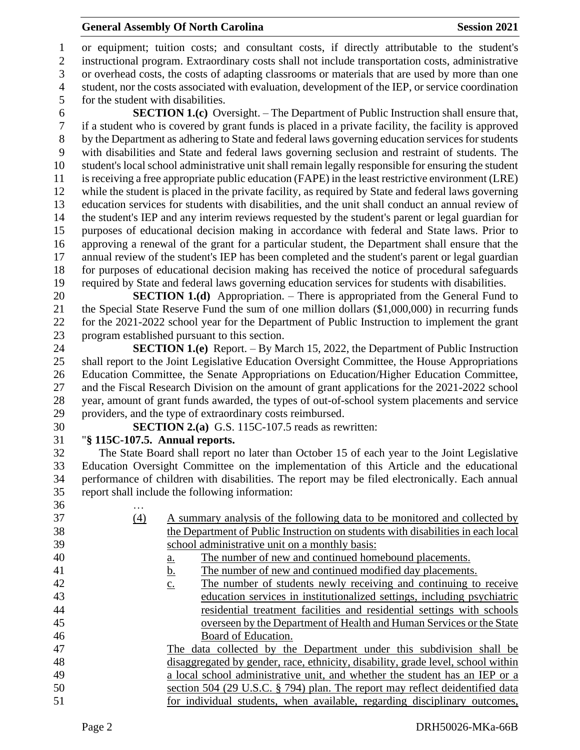### **General Assembly Of North Carolina Session 2021**

 or equipment; tuition costs; and consultant costs, if directly attributable to the student's instructional program. Extraordinary costs shall not include transportation costs, administrative or overhead costs, the costs of adapting classrooms or materials that are used by more than one student, nor the costs associated with evaluation, development of the IEP, or service coordination for the student with disabilities.

 **SECTION 1.(c)** Oversight. – The Department of Public Instruction shall ensure that, if a student who is covered by grant funds is placed in a private facility, the facility is approved by the Department as adhering to State and federal laws governing education services for students with disabilities and State and federal laws governing seclusion and restraint of students. The student's local school administrative unit shall remain legally responsible for ensuring the student is receiving a free appropriate public education (FAPE) in the least restrictive environment (LRE) while the student is placed in the private facility, as required by State and federal laws governing education services for students with disabilities, and the unit shall conduct an annual review of the student's IEP and any interim reviews requested by the student's parent or legal guardian for purposes of educational decision making in accordance with federal and State laws. Prior to approving a renewal of the grant for a particular student, the Department shall ensure that the annual review of the student's IEP has been completed and the student's parent or legal guardian for purposes of educational decision making has received the notice of procedural safeguards required by State and federal laws governing education services for students with disabilities.

 **SECTION 1.(d)** Appropriation. – There is appropriated from the General Fund to the Special State Reserve Fund the sum of one million dollars (\$1,000,000) in recurring funds for the 2021-2022 school year for the Department of Public Instruction to implement the grant program established pursuant to this section.

 **SECTION 1.(e)** Report. – By March 15, 2022, the Department of Public Instruction shall report to the Joint Legislative Education Oversight Committee, the House Appropriations Education Committee, the Senate Appropriations on Education/Higher Education Committee, and the Fiscal Research Division on the amount of grant applications for the 2021-2022 school year, amount of grant funds awarded, the types of out-of-school system placements and service providers, and the type of extraordinary costs reimbursed.

**SECTION 2.(a)** G.S. 115C-107.5 reads as rewritten:

## "**§ 115C-107.5. Annual reports.**

 The State Board shall report no later than October 15 of each year to the Joint Legislative Education Oversight Committee on the implementation of this Article and the educational performance of children with disabilities. The report may be filed electronically. Each annual report shall include the following information:

| 36 | .   |                                                                                       |
|----|-----|---------------------------------------------------------------------------------------|
| 37 | (4) | A summary analysis of the following data to be monitored and collected by             |
| 38 |     | the Department of Public Instruction on students with disabilities in each local      |
| 39 |     | school administrative unit on a monthly basis:                                        |
| 40 |     | The number of new and continued homebound placements.<br><u>a.</u>                    |
| 41 |     | The number of new and continued modified day placements.<br><u>b.</u>                 |
| 42 |     | The number of students newly receiving and continuing to receive<br>$\underline{c}$ . |
| 43 |     | education services in institutionalized settings, including psychiatric               |
| 44 |     | residential treatment facilities and residential settings with schools                |
| 45 |     | overseen by the Department of Health and Human Services or the State                  |
| 46 |     | Board of Education.                                                                   |
| 47 |     | The data collected by the Department under this subdivision shall be                  |
| 48 |     | disaggregated by gender, race, ethnicity, disability, grade level, school within      |
| 49 |     | a local school administrative unit, and whether the student has an IEP or a           |
| 50 |     | section 504 (29 U.S.C. § 794) plan. The report may reflect deidentified data          |
| 51 |     | for individual students, when available, regarding disciplinary outcomes,             |